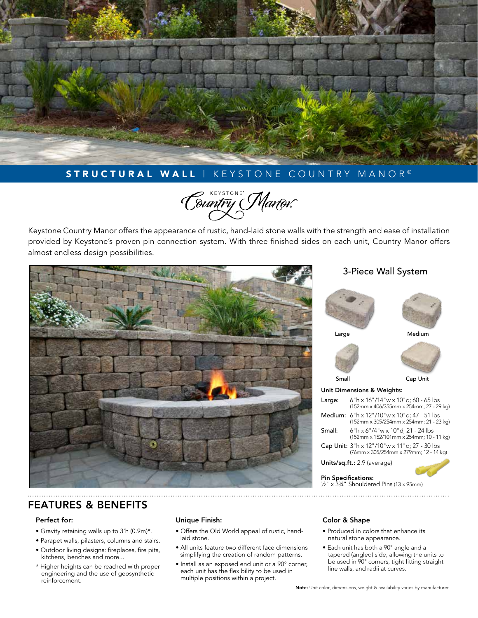

# STRUCTURAL WALL | KEYSTONE COUNTRY MANOR®

Country Manor

Keystone Country Manor offers the appearance of rustic, hand-laid stone walls with the strength and ease of installation provided by Keystone's proven pin connection system. With three finished sides on each unit, Country Manor offers almost endless design possibilities.



# 3-Piece Wall System



## FEATURES & BENEFITS

#### Perfect for:

- Gravity retaining walls up to 3'h (0.9m)\*.
- Parapet walls, pilasters, columns and stairs.
- Outdoor living designs: fireplaces, fire pits, kitchens, benches and more...
- \* Higher heights can be reached with proper engineering and the use of geosynthetic reinforcement.

### Unique Finish:

- Offers the Old World appeal of rustic, handlaid stone.
- All units feature two different face dimensions simplifying the creation of random patterns.
- Install as an exposed end unit or a 90° corner, each unit has the flexibility to be used in multiple positions within a project.

### Color & Shape

• Produced in colors that enhance its natural stone appearance.

½" x 3¾" Shouldered Pins (13 x 95mm)

• Each unit has both a 90° angle and a tapered (angled) side, allowing the units to be used in 90° corners, tight fitting straight line walls, and radii at curves.